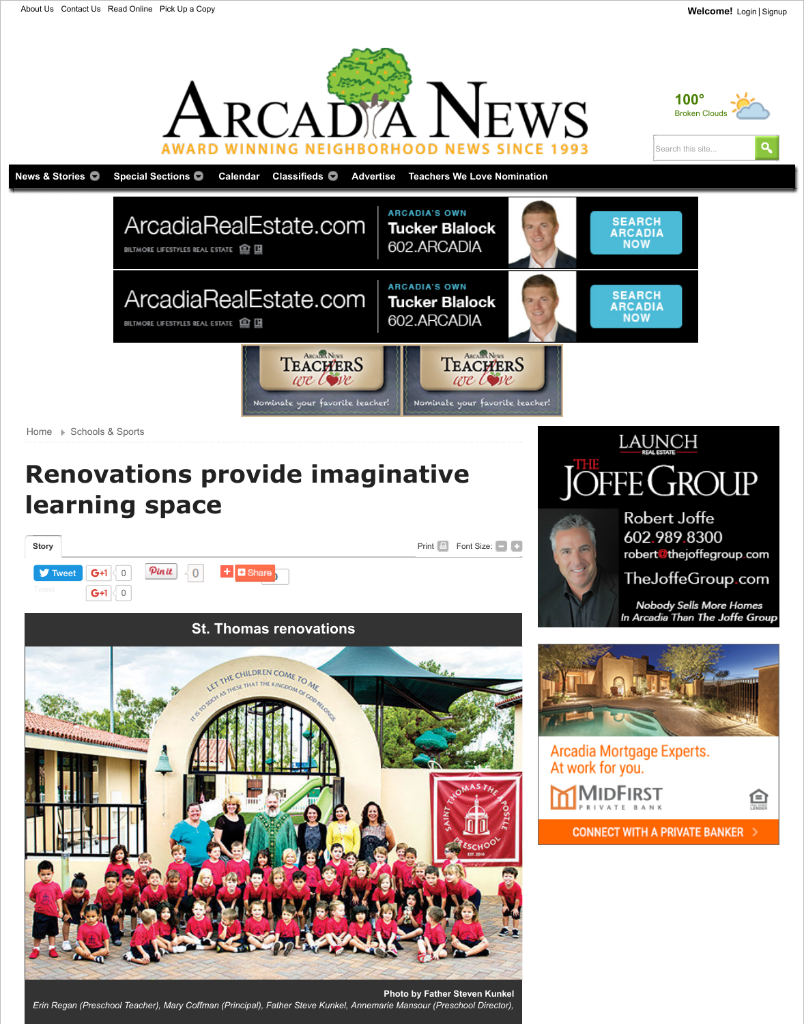# **[Renovations](http://www.arcadianews.com/) provide imaginative learning space**



**Photo by Father Steven K** *Erin Regan (Preschool Teacher), Mary Coffman (Principal), Father Steve Kunkel, Annemarie Mansour (Preschool Dire*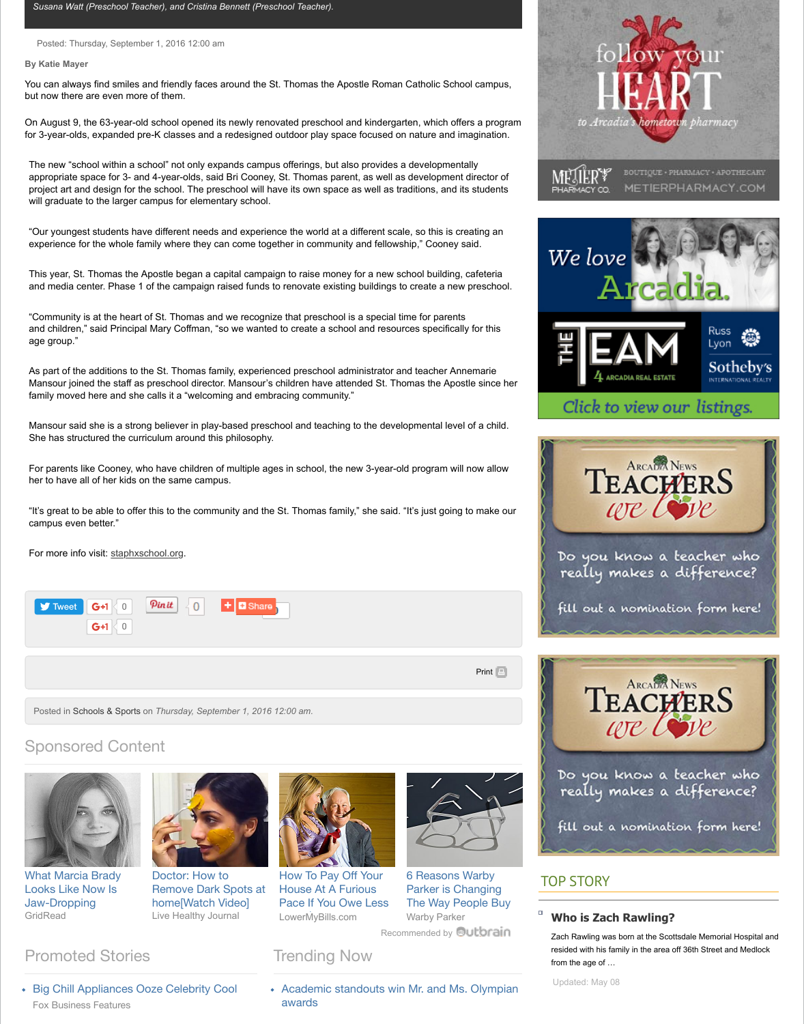family moved here and she calls it a "welcoming and embracing community."

Mansour said she is a strong believer in play-based preschool and teaching to the developmental level of a c She has structured the curriculum around this philosophy.

For parents like Cooney, who have children of multiple ages in school, the new 3-year-old program will now a her to have all of her kids on the same campus.

"It's great to be able to offer this to the community and the St. Thomas family," she said. "It's just going to mal campus even better."

For more info visit: staphxschool.org.



Posted in Schools & Sports on *Thursday, September 1, 2016 12:00 am.*

# Sponsored Content



What Marcia Brady Looks Like Now Is Jaw-Dropping GridRead



Doctor: How to Remove Dark Spots at home[Watch Video] Live Healthy Journal



How To Pay Off Your House At A Furious Pace If You Owe Less LowerMyBills.com



6 Reasons Warby Parker is Changing The Way People Warby Parker

Recommended by **Qutbr** 

# Promoted Stories **Trending Now**

[Big Chill A](https://twitter.com/intent/tweet?ref_src=twsrc%5Etfw&related=ArcadiaDaily%2Ctownnews&text=Renovations%20provide%20imaginative%20learning%20space&tw_p=tweetbutton&url=http%3A%2F%2Fwww.arcadianews.com%2Fschools_and_sports%2Frenovations-provide-imaginative-learning-space%2Farticle_465fd9de-6e23-11e6-a2d8-e318de282281.html%23.V89QwKMsWRM.twitter&via=ArcadiaDaily)ppliances O[oze Ce](javascript:void(0))lebrity [Cool](http://www.arcadianews.com/content/tncms/live/#) [Fox B](http://twitter.com/share)usiness Features

• Academic standouts win Mr. and Ms. Olyn awards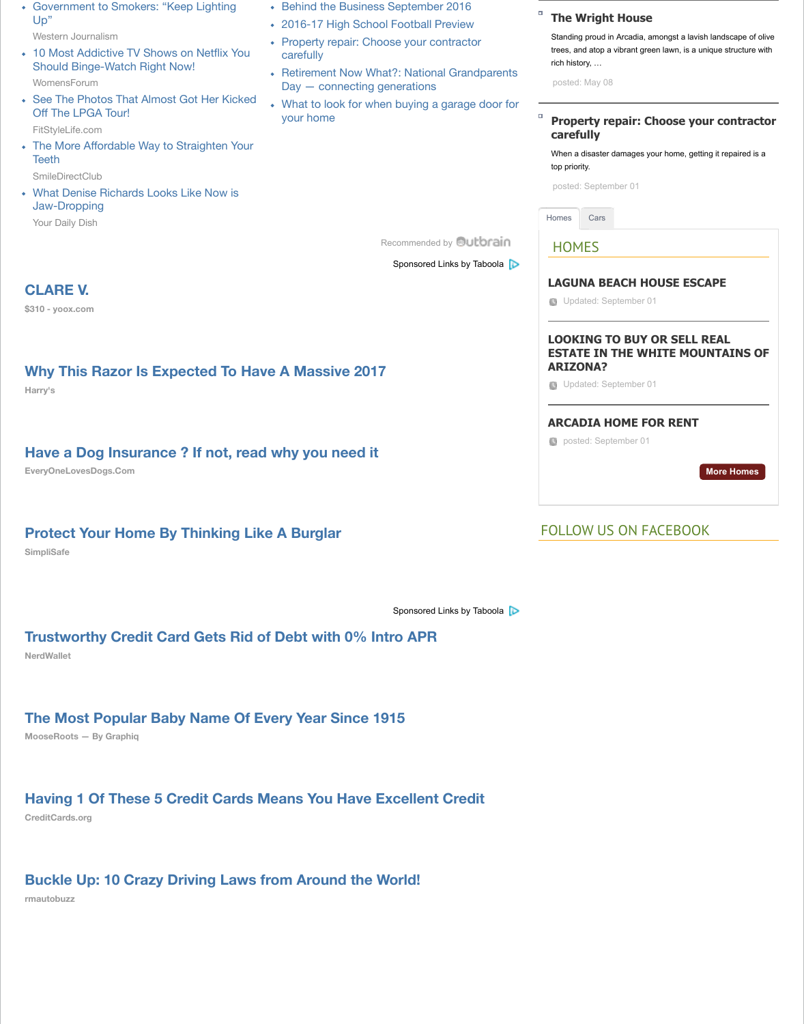### **[Have a Dog Insurance ? If not, rea](http://trending.womensforum.com/binge-worthy-and-re-watch-netflix-shows/?utm_source=Outbrain&utm_medium=cpc&utm_term=5414273&utm_content=50539774&utm_campaign=Outbrain_BWSN)d [why you need it](http://www.arcadianews.com/local_news_and_features/now_what/retirement-now-what-national-grandparents-day-connecting-generations/article_72997754-6e22-11e6-9ca4-8778bffdd279.html)**

**EveryOneLovesDogs.Com**

#### **[Protect Your Home By Thinking Lik](https://smiledirectclub.com/?utm_source=outbrain&utm_medium=display&utm_campaign=outbraincontent-home&utm_term=5414273)e A Burglar**

**SimpliSafe**

Sponsored Links by Tabo

#### **Trustworthy Credit Card Gets Rid of Debt with 0% I[ntro APR](http://www.outbrain.com/what-is/default/en)**

**NerdWallet**

#### **[The Most Popular Baby Name Of Every Year Since 1915](https://cat.sv.us.criteo.com/delivery/ck.php?cppv=1&cpp=OAE%2F1HxYcTM1dk9zR3BvcjBWTDZ2V09kcnpabGg5SFdFQnFrdmFiT3VtYlMyeVVnQXFuVEk4NHRvdXZiRjdzS2hvckhBMzdONWxIRUtKU2dLTkdhUFNRNmtZNWZSUFhNMnhYbERGTkJUeUVHeGNDRFd6dUxQU2VDejd3ZG41c2hyQmxRdHNVQ09YMk9teVdOeDJNMVRPUysyUHI3Z0M5enpXd2hvb1o1NG8yTmMzNU9LLzI2L0tLWXc4ajIxZ2REYVhtbUlldTN3K3RtR2pkT3RBZC80cXNYd015djFUMnlRZS9PT2hROStaQmkxTmFaM0IvNmRmeE1UV2Rhd09PMEhTTElnTmxmSnZ0YWk3T3Iwa0xTaWQ1WnZMdVhrT211TDVKNHJpNElHUENrNkc4Q0dsWW0zTkJIZ2VlOTNjUi9PMW40bXw%3D&maxdest=http%3A%2F%2Fwww.yoox.com%2FUS%2F45302078%2Fitem%3Fdept%3Dwomen%26tp%3D114023%26utm_source%3Dcriteo_us%26utm_medium%3Dretargeting%26utm_campaign%3Dyoox_us%26utm_content%3Ddormant_prospect_test&utm_source=taboola&utm_medium=referral)**

**MooseRoots — By Graphiq**

# **[Having 1 Of These 5 Credit Cards Means You Have Excellent Credit](https://ad.atdmt.com/c/go;p=11252201315549;ev.a=1;idfa=;idfa_lat=;aaid=;aaid_lat=;cache=?ad_image=http%3A%2F%2Fcdn.taboolasyndication.com%2Flibtrc%2Fstatic%2Fthumbnails%2F7352b83bb011d367aa0fa8ffa4c4b7fc.jpg&ad_title=Why+This+Razor+Is+Expected+To+Have+A+Massive+2017&site_id=townnews-arcadianews)**

**CreditCards.org**

### **[Buckle Up: 10 Crazy Driving Laws from Around the World!](http://www.everyonelovesdogs.com/care/have-dog-insurance-if-not-read/?utm_source=taboola&utm_medium=referral)**

**rmautobuzz**